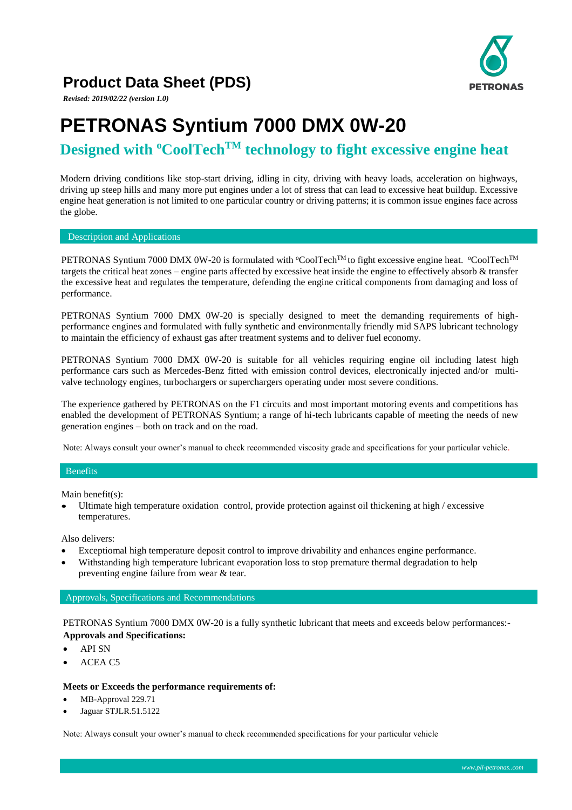# **PETRONAS**

### **Product Data Sheet (PDS)**

*Revised: 2019/02/22 (version 1.0)*

# **PETRONAS Syntium 7000 DMX 0W-20**

## **Designed with <sup>o</sup>CoolTechTM technology to fight excessive engine heat**

Modern driving conditions like stop-start driving, idling in city, driving with heavy loads, acceleration on highways, driving up steep hills and many more put engines under a lot of stress that can lead to excessive heat buildup. Excessive engine heat generation is not limited to one particular country or driving patterns; it is common issue engines face across the globe.

Description and Applications

PETRONAS Syntium 7000 DMX 0W-20 is formulated with °CoolTech<sup>TM</sup> to fight excessive engine heat. °CoolTech<sup>TM</sup> targets the critical heat zones – engine parts affected by excessive heat inside the engine to effectively absorb & transfer the excessive heat and regulates the temperature, defending the engine critical components from damaging and loss of performance.

PETRONAS Syntium 7000 DMX 0W-20 is specially designed to meet the demanding requirements of highperformance engines and formulated with fully synthetic and environmentally friendly mid SAPS lubricant technology to maintain the efficiency of exhaust gas after treatment systems and to deliver fuel economy.

PETRONAS Syntium 7000 DMX 0W-20 is suitable for all vehicles requiring engine oil including latest high performance cars such as Mercedes-Benz fitted with emission control devices, electronically injected and/or multivalve technology engines, turbochargers or superchargers operating under most severe conditions.

The experience gathered by PETRONAS on the F1 circuits and most important motoring events and competitions has enabled the development of PETRONAS Syntium; a range of hi-tech lubricants capable of meeting the needs of new generation engines – both on track and on the road.

Note: Always consult your owner's manual to check recommended viscosity grade and specifications for your particular vehicle.

#### Benefits

Main benefit(s):

• Ultimate high temperature oxidation control, provide protection against oil thickening at high / excessive temperatures.

Also delivers:

- Exceptiomal high temperature deposit control to improve drivability and enhances engine performance.
- Withstanding high temperature lubricant evaporation loss to stop premature thermal degradation to help preventing engine failure from wear & tear.

#### Approvals, Specifications and Recommendations

PETRONAS Syntium 7000 DMX 0W-20 is a fully synthetic lubricant that meets and exceeds below performances:- **Approvals and Specifications:**

- API SN
- ACEA C5

#### **Meets or Exceeds the performance requirements of:**

- MB-Approval 229.71
- Jaguar STJLR.51.5122

Note: Always consult your owner's manual to check recommended specifications for your particular vehicle